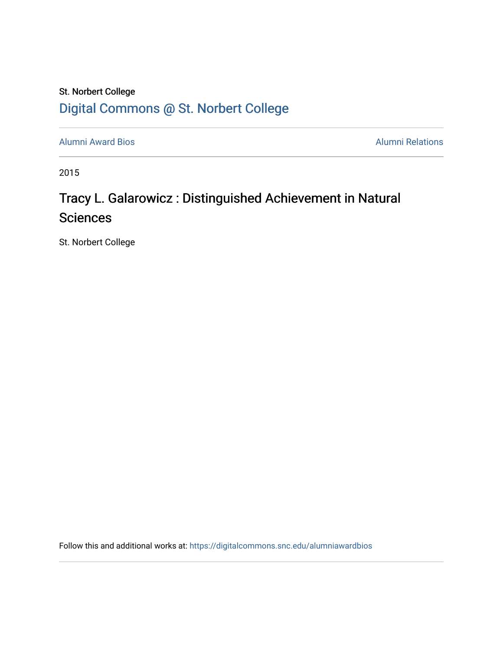### St. Norbert College [Digital Commons @ St. Norbert College](https://digitalcommons.snc.edu/)

[Alumni Award Bios](https://digitalcommons.snc.edu/alumniawardbios) **Alumni Relations** Alumni Relations

2015

## Tracy L. Galarowicz : Distinguished Achievement in Natural Sciences

St. Norbert College

Follow this and additional works at: [https://digitalcommons.snc.edu/alumniawardbios](https://digitalcommons.snc.edu/alumniawardbios?utm_source=digitalcommons.snc.edu%2Falumniawardbios%2F81&utm_medium=PDF&utm_campaign=PDFCoverPages)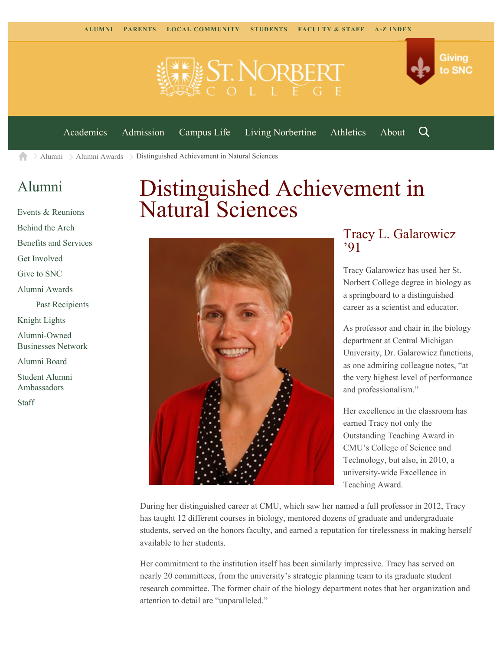

[Academics](https://www.snc.edu/academics) [Admission](https://www.snc.edu/admission) [Campus Life](https://www.snc.edu/campuslife) [Living Norbertine](https://www.snc.edu/livingnorbertine) [Athletics](https://www.snc.edu/athletics) [About](https://www.snc.edu/about)

Q

Giving

to SNC

 $\geq$  [Alumni](https://www.snc.edu/alumni/)  $\geq$  [Alumni Awards](https://www.snc.edu/alumni/awards/)  $\geq$  Distinguished Achievement in Natural Sciences A

#### [Alumni](https://www.snc.edu/alumni/index.html)

[Events & Reunions](https://www.snc.edu/alumni/event/index.html) [Behind the Arch](https://www.snc.edu/alumni/event/behindthearch/) [Benefits and Services](https://www.snc.edu/alumni/benefits.html) [Get Involved](https://www.snc.edu/alumni/getinvolved.html) [Give to SNC](http://giving.snc.edu/) [Alumni Awards](https://www.snc.edu/alumni/awards/index.html) [Past Recipients](https://www.snc.edu/alumni/awards/recipients.html) [Knight Lights](https://www.snc.edu/alumni/knightlights/index.html) [Alumni-Owned](https://www.snc.edu/alumni/directory/index.html) [Businesses Network](https://www.snc.edu/alumni/directory/index.html) [Alumni Board](https://www.snc.edu/alumni/alumniboard.html) [Student Alumni](https://www.snc.edu/alumni/saa.html) [Ambassadors](https://www.snc.edu/alumni/saa.html) [Staff](https://www.snc.edu/alumni/contactus.html)

# Distinguished Achievement in Natural Sciences



#### Tracy L. Galarowicz '91

Tracy Galarowicz has used her St. Norbert College degree in biology as a springboard to a distinguished career as a scientist and educator.

As professor and chair in the biology department at Central Michigan University, Dr. Galarowicz functions, as one admiring colleague notes, "at the very highest level of performance and professionalism."

Her excellence in the classroom has earned Tracy not only the Outstanding Teaching Award in CMU's College of Science and Technology, but also, in 2010, a university-wide Excellence in Teaching Award.

During her distinguished career at CMU, which saw her named a full professor in 2012, Tracy has taught 12 different courses in biology, mentored dozens of graduate and undergraduate students, served on the honors faculty, and earned a reputation for tirelessness in making herself available to her students.

Her commitment to the institution itself has been similarly impressive. Tracy has served on nearly 20 committees, from the university's strategic planning team to its graduate student research committee. The former chair of the biology department notes that her organization and attention to detail are "unparalleled."